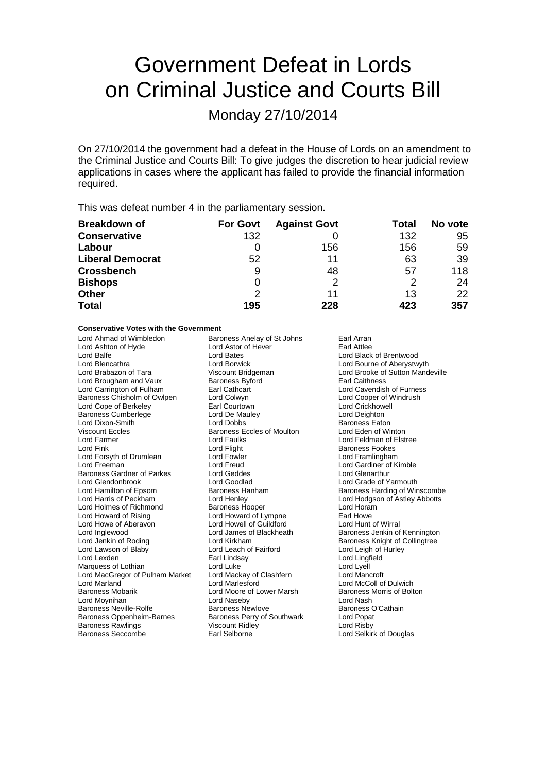# Government Defeat in Lords on Criminal Justice and Courts Bill

Monday 27/10/2014

On 27/10/2014 the government had a defeat in the House of Lords on an amendment to the Criminal Justice and Courts Bill: To give judges the discretion to hear judicial review applications in cases where the applicant has failed to provide the financial information required.

This was defeat number 4 in the parliamentary session.

| <b>Breakdown of</b>     | <b>For Govt</b> | <b>Against Govt</b> | Total | No vote |
|-------------------------|-----------------|---------------------|-------|---------|
| <b>Conservative</b>     | 132             |                     | 132   | 95      |
| Labour                  |                 | 156                 | 156   | 59      |
| <b>Liberal Democrat</b> | 52              | 11                  | 63    | 39      |
| <b>Crossbench</b>       | 9               | 48                  | 57    | 118     |
| <b>Bishops</b>          | 0               | 2                   | 2     | 24      |
| <b>Other</b>            | 2               | 11                  | 13    | 22      |
| <b>Total</b>            | 195             | 228                 | 423   | 357     |

#### **Conservative Votes with the Government**

| Lord Ahmad of Wimbledon           | Baroness Anelay of St Johns        | Earl Arran                       |  |
|-----------------------------------|------------------------------------|----------------------------------|--|
| Lord Ashton of Hyde               | Lord Astor of Hever                | Earl Attlee                      |  |
| Lord Balfe                        | Lord Bates                         | Lord Black of Brentwood          |  |
| Lord Blencathra                   | Lord Borwick                       | Lord Bourne of Aberystwyth       |  |
| Lord Brabazon of Tara             | Viscount Bridgeman                 | Lord Brooke of Sutton Mandeville |  |
| Lord Brougham and Vaux            | <b>Baroness Byford</b>             | <b>Earl Caithness</b>            |  |
| Lord Carrington of Fulham         | Earl Cathcart                      | Lord Cavendish of Furness        |  |
| Baroness Chisholm of Owlpen       | Lord Colwyn                        | Lord Cooper of Windrush          |  |
| Lord Cope of Berkeley             | Earl Courtown                      | Lord Crickhowell                 |  |
| <b>Baroness Cumberlege</b>        | Lord De Mauley                     | Lord Deighton                    |  |
| Lord Dixon-Smith                  | Lord Dobbs                         | <b>Baroness Eaton</b>            |  |
| <b>Viscount Eccles</b>            | <b>Baroness Eccles of Moulton</b>  | Lord Eden of Winton              |  |
| Lord Farmer                       | <b>Lord Faulks</b>                 | Lord Feldman of Elstree          |  |
| Lord Fink                         | Lord Flight                        | <b>Baroness Fookes</b>           |  |
| Lord Forsyth of Drumlean          | Lord Fowler                        | Lord Framlingham                 |  |
| Lord Freeman                      | Lord Freud                         | Lord Gardiner of Kimble          |  |
| <b>Baroness Gardner of Parkes</b> | Lord Geddes                        | <b>Lord Glenarthur</b>           |  |
| Lord Glendonbrook                 | Lord Goodlad                       | Lord Grade of Yarmouth           |  |
| Lord Hamilton of Epsom            | <b>Baroness Hanham</b>             | Baroness Harding of Winscombe    |  |
| Lord Harris of Peckham            | Lord Henley                        | Lord Hodgson of Astley Abbotts   |  |
| Lord Holmes of Richmond           | <b>Baroness Hooper</b>             | Lord Horam                       |  |
| Lord Howard of Rising             | Lord Howard of Lympne              | Earl Howe                        |  |
| Lord Howe of Aberavon             | Lord Howell of Guildford           | Lord Hunt of Wirral              |  |
| Lord Inglewood                    | Lord James of Blackheath           | Baroness Jenkin of Kennington    |  |
| Lord Jenkin of Roding             | Lord Kirkham                       | Baroness Knight of Collingtree   |  |
| Lord Lawson of Blaby              | Lord Leach of Fairford             | Lord Leigh of Hurley             |  |
| Lord Lexden                       | Earl Lindsay                       | Lord Lingfield                   |  |
| Marquess of Lothian               | Lord Luke                          | Lord Lyell                       |  |
| Lord MacGregor of Pulham Market   | Lord Mackay of Clashfern           | Lord Mancroft                    |  |
| Lord Marland                      | Lord Marlesford                    | Lord McColl of Dulwich           |  |
| <b>Baroness Mobarik</b>           | Lord Moore of Lower Marsh          | Baroness Morris of Bolton        |  |
| Lord Moynihan                     | Lord Naseby                        | Lord Nash                        |  |
| <b>Baroness Neville-Rolfe</b>     | <b>Baroness Newlove</b>            | Baroness O'Cathain               |  |
| <b>Baroness Oppenheim-Barnes</b>  | <b>Baroness Perry of Southwark</b> | Lord Popat                       |  |
| <b>Baroness Rawlings</b>          | <b>Viscount Ridley</b>             | Lord Risby                       |  |
| <b>Baroness Seccombe</b>          | Earl Selborne                      | Lord Selkirk of Douglas          |  |
|                                   |                                    |                                  |  |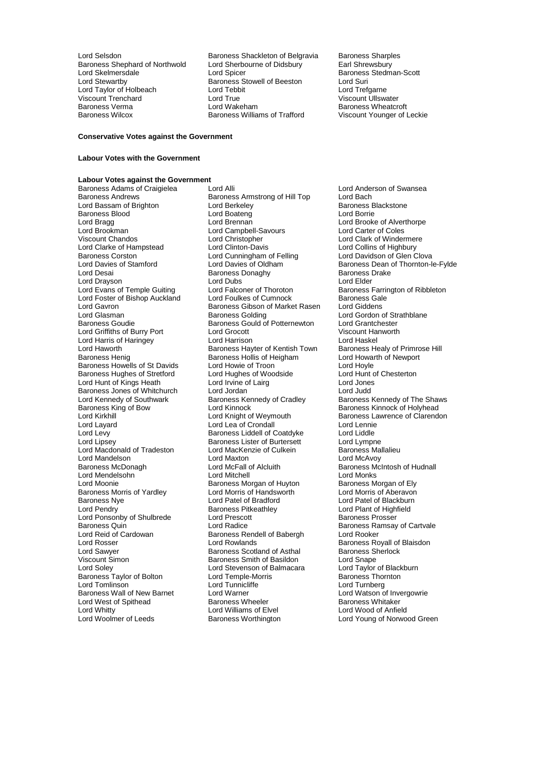Baroness Shephard of Northwold Lord Sherbourne Cord Sherbourne Cord Sherbourne Cord Sherbourne Cord Shrewsbury E Viscount Trenchard<br>
Baroness Verma<br>
Lord Wakeham

Lord Selsdon **Baroness Shackleton of Belgravia** Baroness Sharples<br>Baroness Shephard of Northwold Lord Sherbourne of Didsbury **Earl Shrewsbury** Lord Skelmersdale **Lord Spicer** Exercise Cord Stedman-Scott<br>
Lord Stewartby **Cord Stedman-Scott**<br>
Baroness Stowell of Beeston Lord Suri Exaroness Stowell of Beeston Lord Suri<br>
Lord Tebbit Lord Trefaarne Lord Taylor of Holbeach Lord Tebbit Lord Trefgarne Baroness Verma Lord Wakeham Baroness Wheatcroft

Viscount Younger of Leckie

#### **Conservative Votes against the Government**

#### **Labour Votes with the Government**

### **Labour Votes against the Government**

Baroness Blood Lord Boateng<br>
Lord Bragg<br>
Lord Brennan Lord Brookman Lord Campbell-Savours<br>
Viscount Chandos Coles Lord Christopher Lord Clarke of Hampstead Lord Clinton-Davis<br>
Baroness Corston Lord Cunningham of Felling Lord Drayson<br>
Lord Evans of Temple Guiting<br>
Lord Ealconer of Thoroton Baroness Jones of Whitchurch Lord Jordan<br>
Lord Kennedy of Southwark Baroness Kennedy of Cradley Lord Mandelson **Lord Maxton**<br>
Baroness McDonagh **Lord McFall of Alcluith** Baroness Morris of Yardley Lord Morris of Handsw<br>Baroness Nye Lord Patel of Bradford Lord Ponsonby of Shulbrede Lord Prescot<br>Baroness Quin<br>Lord Radice Lord Reid of Cardowan Baroness Rendell of Babergh<br>
Lord Rosser Lord Rowlands Baroness Taylor of Bolton Lord Temple-Morris Lord Temple-Morris Lord Tunnicliffe Lord Whitty<br>
Lord Woolmer of Leeds<br>
Baroness Worthington

Baroness Adams of Craigielea Lord Alli Lord Anderson of Swansea<br>Baroness Andrews Baroness Armstrong of Hill Top Lord Bach Baroness Armstrong of Hill Top Lord Bach<br>
Lord Berkeley Corp Baroness Blackstone Lord Bassam of Brighton Lord Berkeley **Constant Baroness Baroness Brighton**<br>
Lord Boateng Lord Boateng<br>
Lord Borrie Lord Bragg Lord Brennan Lord Brennan Lord Brooke of Alverthorpe<br>
Lord Brookman Lord Campbell-Savours Lord Carter of Coles Lord Christopher **Lord Clark of Windermere**<br>
Lord Clinton-Davis **Lord Collins of Highbury** Baroness Corston **Lord Cunningham of Felling** Lord Davidson of Glen Clova<br>Lord Davies of Stamford Lord Davies of Oldham **Baroness Dean of Thornton-I** Baroness Donaghy Baroness I<br>
Lord Dubs<br>
Lord Elder Lord Falconer of Thoroton Baroness Farrington of Ribbleton<br>
Lord Foulkes of Cumnock Baroness Gale Lord Foster of Bishop Auckland Lord Foulkes of Cumnock Baroness Gale<br>
Lord Gavron Baroness Gibson of Market Rasen Lord Giddens Lord Gavron **Carolic Communist Communist Communist Communist Communist Communist Communist Communist Communist Communist Communist Communist Communist Communist Communist Communist Communist Communist Communist Communist C** Lord Glasman Baroness Golding Lord Gordon of Strathblane Baroness Goudie Baroness Gould of Potternewton Lord Grantchester Lord Griffiths of Burry Port Lord Grocott Viscount Hanworth Lord Harris of Haringey **Lord Harrison** Lord Haskel<br>Lord Haworth **Collage Harrison** Baroness Hayter of Kentish Town Baroness Healy of Primrose Hill Lord Haworth Baroness Hayter of Kentish Town Baroness Healy of Primrose Healy of Primrose Healy of Primrose Healy of Primrose Healy of Primrose Healy of Primrose Healy of Primrose Healy of Primrose Healy example and Barone Baroness Hollis of Heigham Lord Howarth Lord Howarth Cord Hoyle<br>Lord Howie of Troon Baroness Howells of St Davids Lord Howie of Troon<br>
Baroness Hughes of Stretford Lord Hughes of Woodside Lord Hunt of Chesterton Baroness Hughes of Stretford Lord Hughes of Woodside Lord Hunt of Kings Heath Lord I airq Lord Jones Lord Hunt of Kings Heath Lord Irvine of Lairg Lord Jones Lord Kennedy of Southwark **Baroness Kennedy of Cradley** Baroness Kennedy of The Shaws<br>Baroness King of Bow **Baroness Kennedy of Cradley** Baroness Kinnock of Holyhead Baroness King of Bow Lord Kinnock Corporation Baroness Kinnock of Holyhead<br>
Lord Kinnock Lord King Lord Kinght of Weymouth Baroness Lawrence of Clarendo Lord Kirkhill Lord Knight of Weymouth Baroness Lawrence of Clarendon<br>
Lord Layard Lord Lea of Crondall Lord Lennie<br>
Lord Lea of Crondall Lord Layard **Latter Lord Lea of Crondall** Lord Lennie<br>
Lord Levy **Condall Lord Lea of Coatdyke** Lord Liddle Lord Levy **Baroness Liddell of Coatdyke** Lord Liddle<br>
Lord Lipsey **Baroness Lister of Burtersett** Lord Lympne Lord Lipsey Baroness Lister of Burtersett Lord Lympne Lord Macdonald of Tradeston Lord MacKenzie of Culkein Baroness Ma<br>
Lord Mandelson Lord Maxton Lord Maxton Lord McAvoy Lord McFall of Alcluith Baroness McIntosh of Hudnall<br>
Lord Mitchell Cord Monks Lord Mendelsohn Lord Mitchell Lord Monks Baroness Morgan of Huyton<br>
Lord Morris of Handsworth 
Lord Morris of Aberavon Baroness Nye Lord Patel of Bradford Lord Patel of Blackburn<br>
Lord Petel of Bradford Lord Patel of Blackburn<br>
Lord Pendry Baroness Pitkeathley Lord Plant of Highfield Baroness Pitkeathley<br>
Lord Prescott<br>
Baroness Prosser Baroness Quin **Baroness Cuin**<br>
Lord Reid of Cartvale **Baroness Rendell of Babergh** Baroness Ramsay of Cartvale Lord Rosser **Lord Rowlands** Cord Rowlands **Baroness Royall of Blaisdon**<br>Lord Sawyer **Baroness Scotland of Asthal** Baroness Sherlock Lord Sawyer **Baroness Scotland of Asthal** Baroness Scotland of Asthal Baroness S<br>Viscount Simon Baroness Smith of Basildon Lord Snape Viscount Simon **Baroness Smith of Basildon** Lord Snape<br>
Lord Soley **Communist Conditions**<br>
Lord Soley **Communist Communist Conditions**<br>
Lord Soley **Communist Communist Communist Communist Communist Communist Communist Comm** Lord Stevenson of Balmacara Lord Taylor of Black<br>
Lord Temple-Morris **Communisty** Baroness Thornton Lord Tomlinson Lord Turnberg<br>
Lord Tomlinson Lord Lord Turnberg<br>
Baroness Wall of New Barnet Lord Warner Lord Watson o Lord Warner **Abrah Corporat Lord Watson of Invergowrie**<br>Baroness Wheeler **Corporat Corporat Corporat Corporat Corporate Corporate Baroness Whitaker** Lord West of Spithead **Baroness Wheeler** Baroness Whitaker<br>
Lord Whitty **Baroness Wheeler** Baroness Wheeler<br>
Lord Whitty **Baroness Whitaker** Baroness Wheeler

Lord Davies of Stamford Lord Davies of Oldham Baroness Dean of Thornton-le-Fylde<br>Lord Desai Cores Baroness Donaghy Baroness Daroness Drake Lord Young of Norwood Green